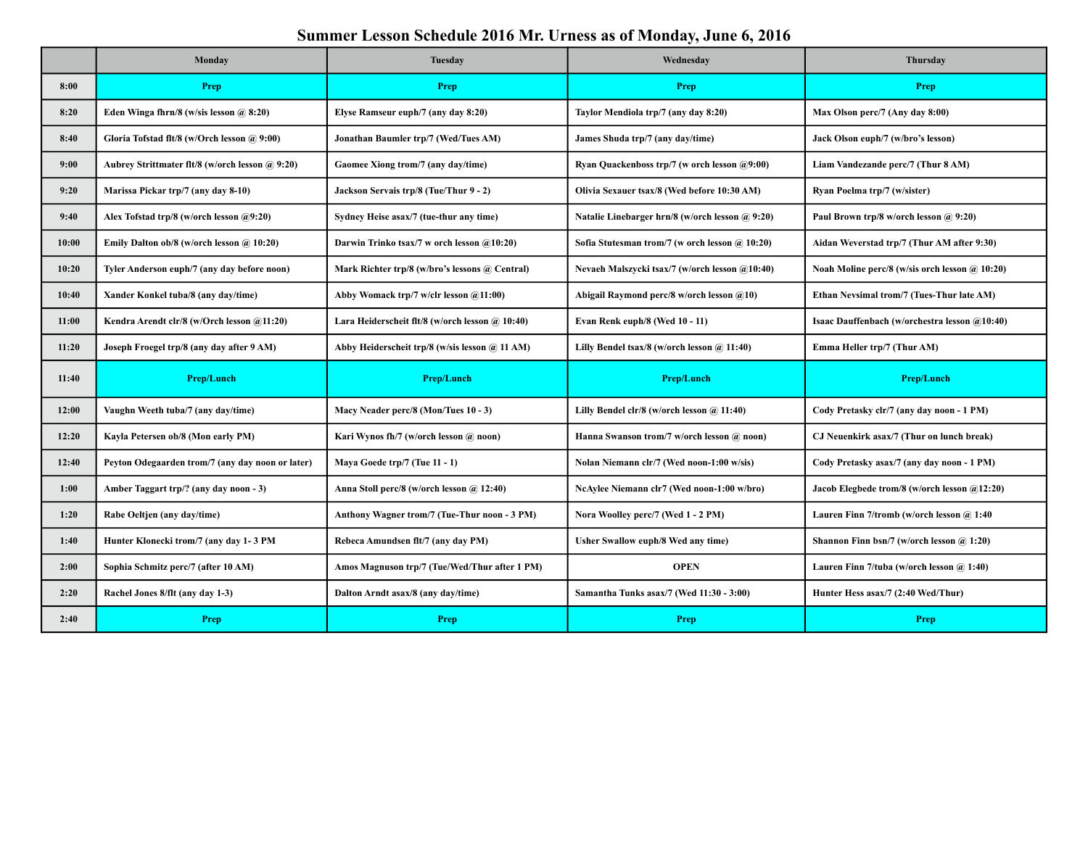## **Summer Lesson Schedule 2016 Mr. Urness as of Monday, June 6, 2016**

|       | Monday                                           | <b>Tuesday</b>                                  | Wednesday                                         | <b>Thursday</b>                                |
|-------|--------------------------------------------------|-------------------------------------------------|---------------------------------------------------|------------------------------------------------|
| 8:00  | Prep                                             | Prep                                            | Prep                                              | Prep                                           |
| 8:20  | Eden Winga fhrn/8 (w/sis lesson $(a)$ 8:20)      | Elyse Ramseur euph/7 (any day 8:20)             | Taylor Mendiola trp/7 (any day 8:20)              | Max Olson perc/7 (Any day 8:00)                |
| 8:40  | Gloria Tofstad flt/8 (w/Orch lesson @ 9:00)      | Jonathan Baumler trp/7 (Wed/Tues AM)            | James Shuda trp/7 (any day/time)                  | Jack Olson euph/7 (w/bro's lesson)             |
| 9:00  | Aubrey Strittmater flt/8 (w/orch lesson @ 9:20)  | Gaomee Xiong trom/7 (any day/time)              | Ryan Quackenboss trp/7 (w orch lesson $(a9:00)$ ) | Liam Vandezande perc/7 (Thur 8 AM)             |
| 9:20  | Marissa Pickar trp/7 (any day 8-10)              | Jackson Servais trp/8 (Tue/Thur 9 - 2)          | Olivia Sexauer tsax/8 (Wed before 10:30 AM)       | Ryan Poelma trp/7 (w/sister)                   |
| 9:40  | Alex Tofstad trp/8 (w/orch lesson @9:20)         | Sydney Heise asax/7 (tue-thur any time)         | Natalie Linebarger hrn/8 (w/orch lesson @ 9:20)   | Paul Brown trp/8 w/orch lesson @ 9:20)         |
| 10:00 | Emily Dalton ob/8 (w/orch lesson $\omega$ 10:20) | Darwin Trinko tsax/7 w orch lesson @10:20)      | Sofia Stutesman trom/7 (w orch lesson @ 10:20)    | Aidan Weverstad trp/7 (Thur AM after 9:30)     |
| 10:20 | Tyler Anderson euph/7 (any day before noon)      | Mark Richter trp/8 (w/bro's lessons @ Central)  | Nevaeh Malszycki tsax/7 (w/orch lesson @10:40)    | Noah Moline perc/8 (w/sis orch lesson @ 10:20) |
| 10:40 | Xander Konkel tuba/8 (any day/time)              | Abby Womack trp/7 w/clr lesson @11:00)          | Abigail Raymond perc/8 w/orch lesson @10)         | Ethan Nevsimal trom/7 (Tues-Thur late AM)      |
| 11:00 | Kendra Arendt clr/8 (w/Orch lesson @11:20)       | Lara Heiderscheit flt/8 (w/orch lesson @ 10:40) | Evan Renk euph/8 (Wed 10 - 11)                    | Isaac Dauffenbach (w/orchestra lesson @10:40)  |
| 11:20 | Joseph Froegel trp/8 (any day after 9 AM)        | Abby Heiderscheit trp/8 (w/sis lesson @ 11 AM)  | Lilly Bendel tsax/8 (w/orch lesson @ 11:40)       | Emma Heller trp/7 (Thur AM)                    |
| 11:40 | Prep/Lunch                                       | Prep/Lunch                                      | <b>Prep/Lunch</b>                                 | <b>Prep/Lunch</b>                              |
| 12:00 | Vaughn Weeth tuba/7 (any day/time)               | Macy Neader perc/8 (Mon/Tues 10 - 3)            | Lilly Bendel clr/8 (w/orch lesson @ 11:40)        | Cody Pretasky clr/7 (any day noon - 1 PM)      |
| 12:20 | Kayla Petersen ob/8 (Mon early PM)               | Kari Wynos fh/7 (w/orch lesson @ noon)          | Hanna Swanson trom/7 w/orch lesson @ noon)        | CJ Neuenkirk asax/7 (Thur on lunch break)      |
| 12:40 | Peyton Odegaarden trom/7 (any day noon or later) | Maya Goede trp/7 (Tue 11 - 1)                   | Nolan Niemann clr/7 (Wed noon-1:00 w/sis)         | Cody Pretasky asax/7 (any day noon - 1 PM)     |
| 1:00  | Amber Taggart trp/? (any day noon - 3)           | Anna Stoll perc/8 (w/orch lesson @ 12:40)       | NcAylee Niemann clr7 (Wed noon-1:00 w/bro)        | Jacob Elegbede trom/8 (w/orch lesson @12:20)   |
| 1:20  | Rabe Oeltjen (any day/time)                      | Anthony Wagner trom/7 (Tue-Thur noon - 3 PM)    | Nora Woolley perc/7 (Wed 1 - 2 PM)                | Lauren Finn 7/tromb (w/orch lesson @ 1:40      |
| 1:40  | Hunter Klonecki trom/7 (any day 1-3 PM           | Rebeca Amundsen flt/7 (any day PM)              | Usher Swallow euph/8 Wed any time)                | Shannon Finn bsn/7 (w/orch lesson $(a)$ 1:20)  |
| 2:00  | Sophia Schmitz perc/7 (after 10 AM)              | Amos Magnuson trp/7 (Tue/Wed/Thur after 1 PM)   | <b>OPEN</b>                                       | Lauren Finn 7/tuba (w/orch lesson @ 1:40)      |
| 2:20  | Rachel Jones 8/flt (any day 1-3)                 | Dalton Arndt asax/8 (any day/time)              | Samantha Tunks asax/7 (Wed 11:30 - 3:00)          | Hunter Hess asax/7 (2:40 Wed/Thur)             |
| 2:40  | Prep                                             | Prep                                            | Prep                                              | Prep                                           |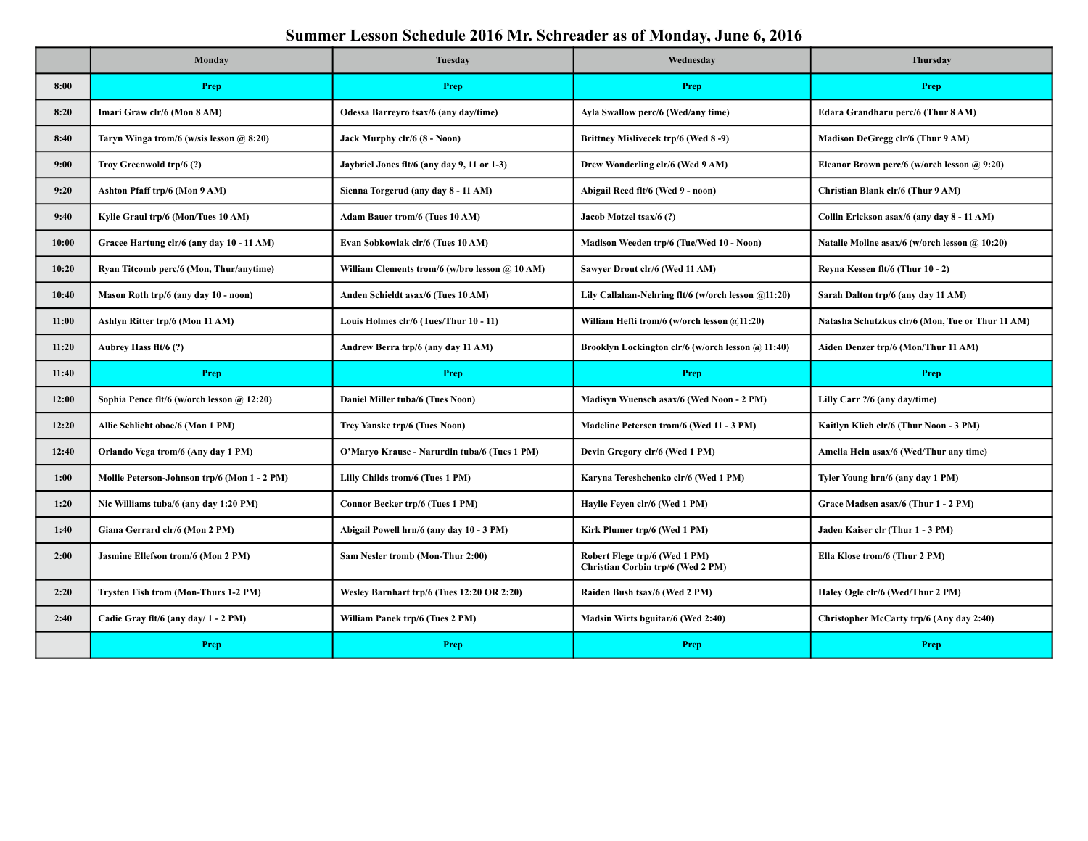## **Summer Lesson Schedule 2016 Mr. Schreader as of Monday, June 6, 2016**

|       | Monday                                       | <b>Tuesday</b>                                 | Wednesday                                                          | Thursday                                         |
|-------|----------------------------------------------|------------------------------------------------|--------------------------------------------------------------------|--------------------------------------------------|
| 8:00  | Prep                                         | Prep                                           | Prep                                                               | Prep                                             |
| 8:20  | Imari Graw clr/6 (Mon 8 AM)                  | Odessa Barreyro tsax/6 (any day/time)          | Ayla Swallow perc/6 (Wed/any time)                                 | Edara Grandharu perc/6 (Thur 8 AM)               |
| 8:40  | Taryn Winga trom/6 (w/sis lesson $(a)$ 8:20) | Jack Murphy clr/6 (8 - Noon)                   | Brittney Mislivecek trp/6 (Wed 8-9)                                | Madison DeGregg clr/6 (Thur 9 AM)                |
| 9:00  | Troy Greenwold trp/6 (?)                     | Jaybriel Jones flt/6 (any day 9, 11 or 1-3)    | Drew Wonderling clr/6 (Wed 9 AM)                                   | Eleanor Brown perc/6 (w/orch lesson @ 9:20)      |
| 9:20  | Ashton Pfaff trp/6 (Mon 9 AM)                | Sienna Torgerud (any day 8 - 11 AM)            | Abigail Reed flt/6 (Wed 9 - noon)                                  | Christian Blank clr/6 (Thur 9 AM)                |
| 9:40  | Kylie Graul trp/6 (Mon/Tues 10 AM)           | <b>Adam Bauer trom/6 (Tues 10 AM)</b>          | Jacob Motzel tsax/6 (?)                                            | Collin Erickson asax/6 (any day 8 - 11 AM)       |
| 10:00 | Gracee Hartung clr/6 (any day 10 - 11 AM)    | Evan Sobkowiak clr/6 (Tues 10 AM)              | Madison Weeden trp/6 (Tue/Wed 10 - Noon)                           | Natalie Moline asax/6 (w/orch lesson @ 10:20)    |
| 10:20 | Ryan Titcomb perc/6 (Mon, Thur/anytime)      | William Clements trom/6 (w/bro lesson @ 10 AM) | Sawyer Drout clr/6 (Wed 11 AM)                                     | Revna Kessen flt/6 (Thur 10 - 2)                 |
| 10:40 | Mason Roth trp/6 (any day 10 - noon)         | Anden Schieldt asax/6 (Tues 10 AM)             | Lily Callahan-Nehring flt/6 (w/orch lesson @11:20)                 | Sarah Dalton trp/6 (any day 11 AM)               |
| 11:00 | Ashlyn Ritter trp/6 (Mon 11 AM)              | Louis Holmes clr/6 (Tues/Thur 10 - 11)         | William Hefti trom/6 (w/orch lesson @11:20)                        | Natasha Schutzkus clr/6 (Mon, Tue or Thur 11 AM) |
| 11:20 | Aubrey Hass flt/6 (?)                        | Andrew Berra trp/6 (any day 11 AM)             | Brooklyn Lockington clr/6 (w/orch lesson @ 11:40)                  | Aiden Denzer trp/6 (Mon/Thur 11 AM)              |
|       |                                              |                                                |                                                                    |                                                  |
| 11:40 | Prep                                         | <b>Prep</b>                                    | Prep                                                               | Prep                                             |
| 12:00 | Sophia Pence flt/6 (w/orch lesson @ 12:20)   | Daniel Miller tuba/6 (Tues Noon)               | Madisyn Wuensch asax/6 (Wed Noon - 2 PM)                           | Lilly Carr ?/6 (any day/time)                    |
| 12:20 | Allie Schlicht oboe/6 (Mon 1 PM)             | Trey Yanske trp/6 (Tues Noon)                  | Madeline Petersen trom/6 (Wed 11 - 3 PM)                           | Kaitlyn Klich clr/6 (Thur Noon - 3 PM)           |
| 12:40 | Orlando Vega trom/6 (Any day 1 PM)           | O'Maryo Krause - Narurdin tuba/6 (Tues 1 PM)   | Devin Gregory clr/6 (Wed 1 PM)                                     | Amelia Hein asax/6 (Wed/Thur any time)           |
| 1:00  | Mollie Peterson-Johnson trp/6 (Mon 1 - 2 PM) | Lilly Childs trom/6 (Tues 1 PM)                | Karyna Tereshchenko clr/6 (Wed 1 PM)                               | Tyler Young hrn/6 (any day 1 PM)                 |
| 1:20  | Nic Williams tuba/6 (any day 1:20 PM)        | Connor Becker trp/6 (Tues 1 PM)                | Havlie Feven clr/6 (Wed 1 PM)                                      | Grace Madsen asax/6 (Thur 1 - 2 PM)              |
| 1:40  | Giana Gerrard clr/6 (Mon 2 PM)               | Abigail Powell hrn/6 (any day 10 - 3 PM)       | Kirk Plumer trp/6 (Wed 1 PM)                                       | Jaden Kaiser clr (Thur 1 - 3 PM)                 |
| 2:00  | Jasmine Ellefson trom/6 (Mon 2 PM)           | Sam Nesler tromb (Mon-Thur 2:00)               | Robert Flege trp/6 (Wed 1 PM)<br>Christian Corbin trp/6 (Wed 2 PM) | Ella Klose trom/6 (Thur 2 PM)                    |
| 2:20  | Trysten Fish trom (Mon-Thurs 1-2 PM)         | Wesley Barnhart trp/6 (Tues 12:20 OR 2:20)     | Raiden Bush tsax/6 (Wed 2 PM)                                      | Haley Ogle clr/6 (Wed/Thur 2 PM)                 |
| 2:40  | Cadie Gray flt/6 (any day/ 1 - 2 PM)         | William Panek trp/6 (Tues 2 PM)                | Madsin Wirts bguitar/6 (Wed 2:40)                                  | Christopher McCarty trp/6 (Any day 2:40)         |